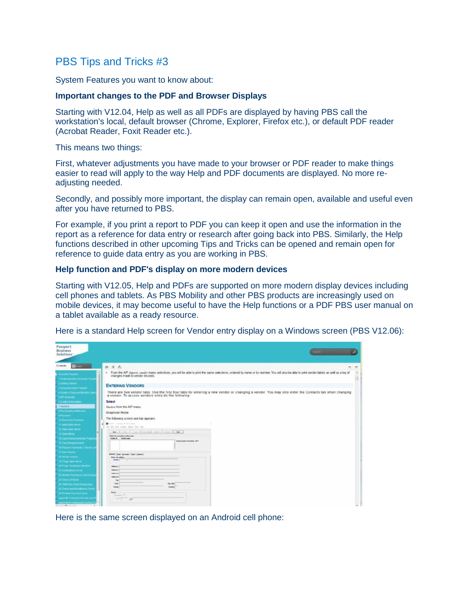## PBS Tips and Tricks #3

System Features you want to know about:

## **Important changes to the PDF and Browser Displays**

Starting with V12.04, Help as well as all PDFs are displayed by having PBS call the workstation's local, default browser (Chrome, Explorer, Firefox etc.), or default PDF reader (Acrobat Reader, Foxit Reader etc.).

This means two things:

First, whatever adjustments you have made to your browser or PDF reader to make things easier to read will apply to the way Help and PDF documents are displayed. No more readjusting needed.

Secondly, and possibly more important, the display can remain open, available and useful even after you have returned to PBS.

For example, if you print a report to PDF you can keep it open and use the information in the report as a reference for data entry or research after going back into PBS. Similarly, the Help functions described in other upcoming Tips and Tricks can be opened and remain open for reference to guide data entry as you are working in PBS.

## **Help function and PDF's display on more modern devices**

Starting with V12.05, Help and PDFs are supported on more modern display devices including cell phones and tablets. As PBS Mobility and other PBS products are increasingly used on mobile devices, it may become useful to have the Help functions or a PDF PBS user manual on a tablet available as a ready resource.

Here is a standard Help screen for Vendor entry display on a Windows screen (PBS V12.06):

| Passport<br><b>Business</b><br>Solutions-               |                                                                                                                                                                                                                                 |  |
|---------------------------------------------------------|---------------------------------------------------------------------------------------------------------------------------------------------------------------------------------------------------------------------------------|--|
| Contents:                                               | $\theta \equiv L$                                                                                                                                                                                                               |  |
| <b>Accounts Payable</b><br>1 Undecimately Accounts Pass | . From the AP Asports, vandor menu selections, you will be able to print the same selections, ordered by name or by number. You will also be able to print vendor labels as well as a log of<br>changes made to vendor records. |  |
| 2 Geling Thated<br>3 United Accounts Payable            | <b>ENTERING VENDORS</b>                                                                                                                                                                                                         |  |
| 4 Golde to Gold and Market To<br><b>SAPAINAN</b>        | There are five vendor fabs. Use the first four tabs for entering a new vendor or changing a vendor. You may only enter the Contacts fab when changing<br>a vendor. To access vendors entry do the following:                    |  |
| <b><i><u>SCHRIFREDUCE</u></i></b>                       | <b>Soloci</b>                                                                                                                                                                                                                   |  |
| <b>B Purchasing Addresses</b>                           | Heyber from the AP menu.                                                                                                                                                                                                        |  |
| <b>SPackard</b>                                         | Graphical Mode                                                                                                                                                                                                                  |  |
| <b>10 Kelling Parisher</b>                              | The following screen and tab appears:                                                                                                                                                                                           |  |
| <b>11 April Open Fema</b>                               | project - Company & SEE Company<br>he has that Eastern Spines had they                                                                                                                                                          |  |
| 12 show Claws Name<br><b>CD Cown Inches</b>             | so I am I am Iberted and I has fires                                                                                                                                                                                            |  |
| 14 Cash Enstuario memis Pegas                           | briant to committee conder name<br>Vanda & Conda sales                                                                                                                                                                          |  |
| <b>15 Cash Requirements</b>                             | Especial partial Systematics, 3867                                                                                                                                                                                              |  |
| 16 Plazare Painterer / Chrysle 2                        |                                                                                                                                                                                                                                 |  |
| <b>AT WAR Checks</b>                                    | Brend (Seat   Annuals   Spide) (Selecte)                                                                                                                                                                                        |  |
| <b>Minniermann</b>                                      | <b>Rose and address</b>                                                                                                                                                                                                         |  |
| <b>TO Player Clearly Faster</b>                         | <b>Newton 7</b>                                                                                                                                                                                                                 |  |
| 20 Purge Templates Venckins                             | Address V.                                                                                                                                                                                                                      |  |
| 21 Diskladern to GE                                     | Address (1)<br><b>Address 21</b>                                                                                                                                                                                                |  |
| 22 lendar Pulchasse and Dra                             | Address #                                                                                                                                                                                                                       |  |
| 23 Chica & Palma                                        | $\sim$                                                                                                                                                                                                                          |  |
| 24 NW Year-End Photography                              | Time:<br>Tip Lode [<br><b>Case</b><br><b>Capture</b>                                                                                                                                                                            |  |
| 25 Chies and Rendance Ford                              | Farm.                                                                                                                                                                                                                           |  |
| 26 Pastlen Paul For Farms                               | Swagen, P.                                                                                                                                                                                                                      |  |
| <b>Appends A Sample Chacks and</b>                      | fund of the<br>3911                                                                                                                                                                                                             |  |
| <b>Appends fo explorant Position Pat</b>                |                                                                                                                                                                                                                                 |  |

Here is the same screen displayed on an Android cell phone: